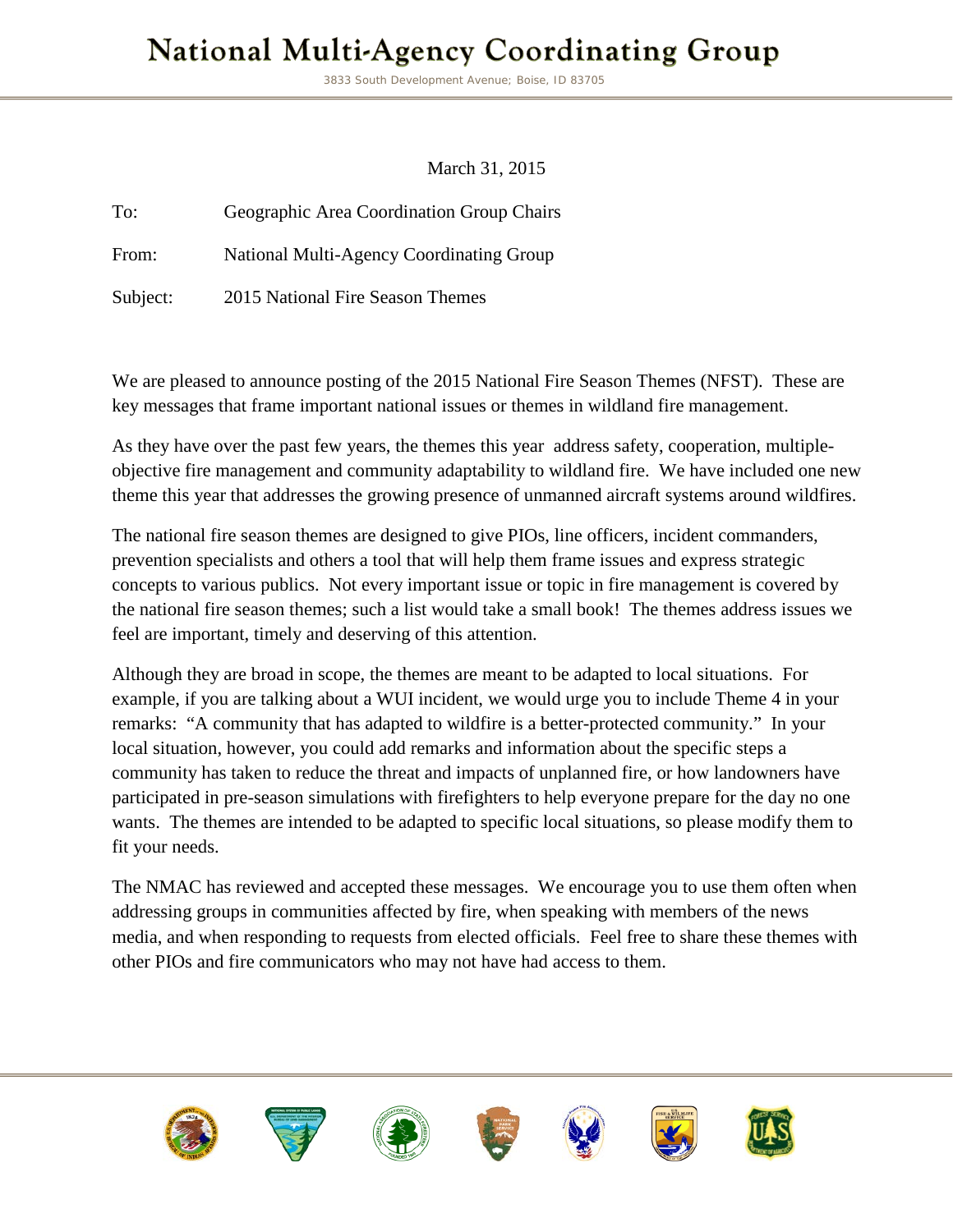## **National Multi-Agency Coordinating Group**

3833 South Development Avenue; Boise, ID 83705

March 31, 2015

To: Geographic Area Coordination Group Chairs From: National Multi-Agency Coordinating Group

Subject: 2015 National Fire Season Themes

We are pleased to announce posting of the 2015 National Fire Season Themes (NFST). These are key messages that frame important national issues or themes in wildland fire management.

As they have over the past few years, the themes this year address safety, cooperation, multipleobjective fire management and community adaptability to wildland fire. We have included one new theme this year that addresses the growing presence of unmanned aircraft systems around wildfires.

The national fire season themes are designed to give PIOs, line officers, incident commanders, prevention specialists and others a tool that will help them frame issues and express strategic concepts to various publics. Not every important issue or topic in fire management is covered by the national fire season themes; such a list would take a small book! The themes address issues we feel are important, timely and deserving of this attention.

Although they are broad in scope, the themes are meant to be adapted to local situations. For example, if you are talking about a WUI incident, we would urge you to include Theme 4 in your remarks: "A community that has adapted to wildfire is a better-protected community." In your local situation, however, you could add remarks and information about the specific steps a community has taken to reduce the threat and impacts of unplanned fire, or how landowners have participated in pre-season simulations with firefighters to help everyone prepare for the day no one wants. The themes are intended to be adapted to specific local situations, so please modify them to fit your needs.

The NMAC has reviewed and accepted these messages. We encourage you to use them often when addressing groups in communities affected by fire, when speaking with members of the news media, and when responding to requests from elected officials. Feel free to share these themes with other PIOs and fire communicators who may not have had access to them.